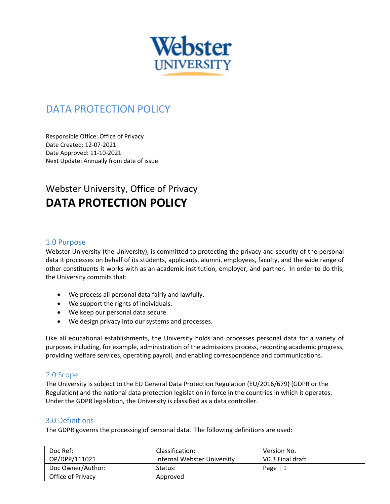

# DATA PROTECTION POLICY

Responsible Office: Office of Privacy Date Created: 12-07-2021 Date Approved: 11-10-2021 Next Update: Annually from date of issue

# Webster University, Office of Privacy **DATA PROTECTION POLICY**

## 1.0 Purpose

Webster University (the University), is committed to protecting the privacy and security of the personal data it processes on behalf of its students, applicants, alumni, employees, faculty, and the wide range of other constituents it works with as an academic institution, employer, and partner. In order to do this, the University commits that:

- We process all personal data fairly and lawfully.
- We support the rights of individuals.
- We keep our personal data secure.
- We design privacy into our systems and processes.

Like all educational establishments, the University holds and processes personal data for a variety of purposes including, for example, administration of the admissions process, recording academic progress, providing welfare services, operating payroll, and enabling correspondence and communications.

# 2.0 Scope

The University is subject to the EU General Data Protection Regulation (EU/2016/679) (GDPR or the Regulation) and the national data protection legislation in force in the countries in which it operates. Under the GDPR legislation, the University is classified as a data controller.

# 3.0 Definitions

The GDPR governs the processing of personal data. The following definitions are used:

| Doc Ref:          | Classification:             | Version No.      |
|-------------------|-----------------------------|------------------|
| OP/DPP/111021     | Internal Webster University | VO.3 Final draft |
| Doc Owner/Author: | Status:                     | Page $ 1$        |
| Office of Privacy | Approved                    |                  |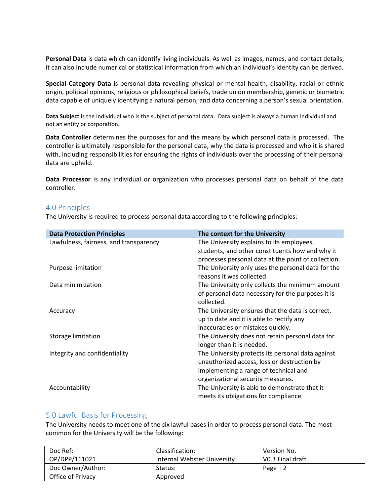**Personal Data** is data which can identify living individuals. As well as images, names, and contact details, it can also include numerical or statistical information from which an individual's identity can be derived.

**Special Category Data** is personal data revealing physical or mental health, disability, racial or ethnic origin, political opinions, religious or philosophical beliefs, trade union membership, genetic or biometric data capable of uniquely identifying a natural person, and data concerning a person's sexual orientation.

**Data Subject** is the individual who is the subject of personal data. Data subject is always a human individual and not an entity or corporation.

**Data Controller** determines the purposes for and the means by which personal data is processed. The controller is ultimately responsible for the personal data, why the data is processed and who it is shared with, including responsibilities for ensuring the rights of individuals over the processing of their personal data are upheld.

**Data Processor** is any individual or organization who processes personal data on behalf of the data controller.

## 4.0 Principles

The University is required to process personal data according to the following principles:

| <b>Data Protection Principles</b>      | The context for the University                      |
|----------------------------------------|-----------------------------------------------------|
| Lawfulness, fairness, and transparency | The University explains to its employees,           |
|                                        | students, and other constituents how and why it     |
|                                        | processes personal data at the point of collection. |
| Purpose limitation                     | The University only uses the personal data for the  |
|                                        | reasons it was collected.                           |
| Data minimization                      | The University only collects the minimum amount     |
|                                        | of personal data necessary for the purposes it is   |
|                                        | collected.                                          |
| Accuracy                               | The University ensures that the data is correct,    |
|                                        | up to date and it is able to rectify any            |
|                                        | inaccuracies or mistakes quickly.                   |
| Storage limitation                     | The University does not retain personal data for    |
|                                        | longer than it is needed.                           |
| Integrity and confidentiality          | The University protects its personal data against   |
|                                        | unauthorized access, loss or destruction by         |
|                                        | implementing a range of technical and               |
|                                        | organizational security measures.                   |
| Accountability                         | The University is able to demonstrate that it       |
|                                        | meets its obligations for compliance.               |

## 5.0 Lawful Basis for Processing

The University needs to meet one of the six lawful bases in order to process personal data. The most common for the University will be the following:

| Doc Ref:          | Classification:             | Version No.      |
|-------------------|-----------------------------|------------------|
| OP/DPP/111021     | Internal Webster University | V0.3 Final draft |
| Doc Owner/Author: | Status:                     | Page $ 2$        |
| Office of Privacy | Approved                    |                  |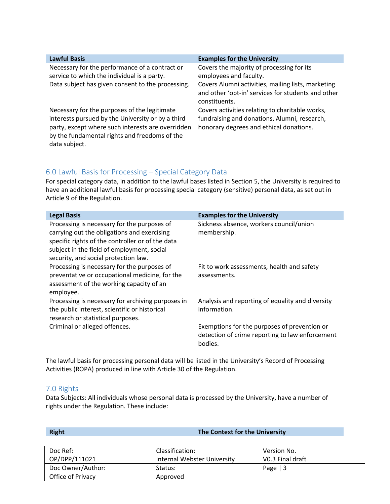| <b>Lawful Basis</b>                                                                                                                                                                                                      | <b>Examples for the University</b>                                                                                                         |
|--------------------------------------------------------------------------------------------------------------------------------------------------------------------------------------------------------------------------|--------------------------------------------------------------------------------------------------------------------------------------------|
|                                                                                                                                                                                                                          |                                                                                                                                            |
| Necessary for the performance of a contract or<br>service to which the individual is a party.                                                                                                                            | Covers the majority of processing for its<br>employees and faculty.                                                                        |
|                                                                                                                                                                                                                          |                                                                                                                                            |
| Data subject has given consent to the processing.                                                                                                                                                                        | Covers Alumni activities, mailing lists, marketing<br>and other 'opt-in' services for students and other<br>constituents.                  |
| Necessary for the purposes of the legitimate<br>interests pursued by the University or by a third<br>party, except where such interests are overridden<br>by the fundamental rights and freedoms of the<br>data subject. | Covers activities relating to charitable works,<br>fundraising and donations, Alumni, research,<br>honorary degrees and ethical donations. |
|                                                                                                                                                                                                                          |                                                                                                                                            |

# 6.0 Lawful Basis for Processing – Special Category Data

For special category data, in addition to the lawful bases listed in Section 5, the University is required to have an additional lawful basis for processing special category (sensitive) personal data, as set out in Article 9 of the Regulation.

| <b>Legal Basis</b>                                                                                                                                                                                                                   | <b>Examples for the University</b>                                                                         |
|--------------------------------------------------------------------------------------------------------------------------------------------------------------------------------------------------------------------------------------|------------------------------------------------------------------------------------------------------------|
| Processing is necessary for the purposes of<br>carrying out the obligations and exercising<br>specific rights of the controller or of the data<br>subject in the field of employment, social<br>security, and social protection law. | Sickness absence, workers council/union<br>membership.                                                     |
| Processing is necessary for the purposes of<br>preventative or occupational medicine, for the<br>assessment of the working capacity of an<br>employee.                                                                               | Fit to work assessments, health and safety<br>assessments.                                                 |
| Processing is necessary for archiving purposes in<br>the public interest, scientific or historical<br>research or statistical purposes.                                                                                              | Analysis and reporting of equality and diversity<br>information.                                           |
| Criminal or alleged offences.                                                                                                                                                                                                        | Exemptions for the purposes of prevention or<br>detection of crime reporting to law enforcement<br>bodies. |

The lawful basis for processing personal data will be listed in the University's Record of Processing Activities (ROPA) produced in line with Article 30 of the Regulation.

# 7.0 Rights

Data Subjects: All individuals whose personal data is processed by the University, have a number of rights under the Regulation. These include:

| <b>Right</b>                           | The Context for the University                 |                                 |  |
|----------------------------------------|------------------------------------------------|---------------------------------|--|
| Doc Ref:<br>OP/DPP/111021              | Classification:<br>Internal Webster University | Version No.<br>V0.3 Final draft |  |
| Doc Owner/Author:<br>Office of Privacy | Status:<br>Approved                            | Page $ 3$                       |  |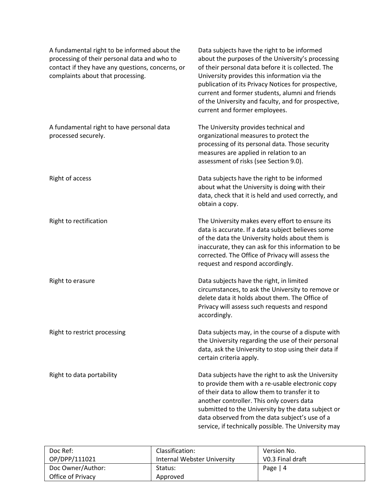| A fundamental right to be informed about the<br>processing of their personal data and who to<br>contact if they have any questions, concerns, or<br>complaints about that processing. | Data subjects have the right to be informed<br>about the purposes of the University's processing<br>of their personal data before it is collected. The<br>University provides this information via the<br>publication of its Privacy Notices for prospective,<br>current and former students, alumni and friends<br>of the University and faculty, and for prospective,<br>current and former employees. |
|---------------------------------------------------------------------------------------------------------------------------------------------------------------------------------------|----------------------------------------------------------------------------------------------------------------------------------------------------------------------------------------------------------------------------------------------------------------------------------------------------------------------------------------------------------------------------------------------------------|
| A fundamental right to have personal data<br>processed securely.                                                                                                                      | The University provides technical and<br>organizational measures to protect the<br>processing of its personal data. Those security<br>measures are applied in relation to an<br>assessment of risks (see Section 9.0).                                                                                                                                                                                   |
| Right of access                                                                                                                                                                       | Data subjects have the right to be informed<br>about what the University is doing with their<br>data, check that it is held and used correctly, and<br>obtain a copy.                                                                                                                                                                                                                                    |
| Right to rectification                                                                                                                                                                | The University makes every effort to ensure its<br>data is accurate. If a data subject believes some<br>of the data the University holds about them is<br>inaccurate, they can ask for this information to be<br>corrected. The Office of Privacy will assess the<br>request and respond accordingly.                                                                                                    |
| Right to erasure                                                                                                                                                                      | Data subjects have the right, in limited<br>circumstances, to ask the University to remove or<br>delete data it holds about them. The Office of<br>Privacy will assess such requests and respond<br>accordingly.                                                                                                                                                                                         |
| Right to restrict processing                                                                                                                                                          | Data subjects may, in the course of a dispute with<br>the University regarding the use of their personal<br>data, ask the University to stop using their data if<br>certain criteria apply.                                                                                                                                                                                                              |
| Right to data portability                                                                                                                                                             | Data subjects have the right to ask the University<br>to provide them with a re-usable electronic copy<br>of their data to allow them to transfer it to<br>another controller. This only covers data<br>submitted to the University by the data subject or<br>data observed from the data subject's use of a<br>service, if technically possible. The University may                                     |

| Doc Ref:          | Classification:             | Version No.      |
|-------------------|-----------------------------|------------------|
| OP/DPP/111021     | Internal Webster University | V0.3 Final draft |
| Doc Owner/Author: | Status:                     | Page $ 4$        |
| Office of Privacy | Approved                    |                  |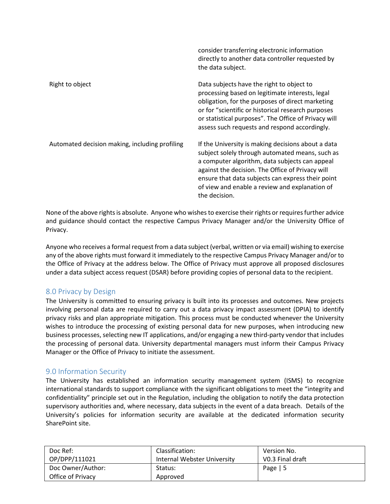|                                                | directly to another data controller requested by<br>the data subject.                                                                                                                                                                                                                                                               |
|------------------------------------------------|-------------------------------------------------------------------------------------------------------------------------------------------------------------------------------------------------------------------------------------------------------------------------------------------------------------------------------------|
| Right to object                                | Data subjects have the right to object to<br>processing based on legitimate interests, legal<br>obligation, for the purposes of direct marketing<br>or for "scientific or historical research purposes<br>or statistical purposes". The Office of Privacy will<br>assess such requests and respond accordingly.                     |
| Automated decision making, including profiling | If the University is making decisions about a data<br>subject solely through automated means, such as<br>a computer algorithm, data subjects can appeal<br>against the decision. The Office of Privacy will<br>ensure that data subjects can express their point<br>of view and enable a review and explanation of<br>the decision. |

consider transferring electronic information

None of the above rights is absolute. Anyone who wishes to exercise their rights or requires further advice and guidance should contact the respective Campus Privacy Manager and/or the University Office of Privacy.

Anyone who receives a formal request from a data subject (verbal, written or via email) wishing to exercise any of the above rights must forward it immediately to the respective Campus Privacy Manager and/or to the Office of Privacy at the address below. The Office of Privacy must approve all proposed disclosures under a data subject access request (DSAR) before providing copies of personal data to the recipient.

# 8.0 Privacy by Design

The University is committed to ensuring privacy is built into its processes and outcomes. New projects involving personal data are required to carry out a data privacy impact assessment (DPIA) to identify privacy risks and plan appropriate mitigation. This process must be conducted whenever the University wishes to introduce the processing of existing personal data for new purposes, when introducing new business processes, selecting new IT applications, and/or engaging a new third-party vendor that includes the processing of personal data. University departmental managers must inform their Campus Privacy Manager or the Office of Privacy to initiate the assessment.

# 9.0 Information Security

The University has established an information security management system (ISMS) to recognize international standards to support compliance with the significant obligations to meet the "integrity and confidentiality" principle set out in the Regulation, including the obligation to notify the data protection supervisory authorities and, where necessary, data subjects in the event of a data breach. Details of the University's policies for information security are available at the dedicated information security SharePoint site.

| Doc Ref:          | Classification:             | Version No.      |
|-------------------|-----------------------------|------------------|
| OP/DPP/111021     | Internal Webster University | V0.3 Final draft |
| Doc Owner/Author: | Status:                     | Page   $5$       |
| Office of Privacy | Approved                    |                  |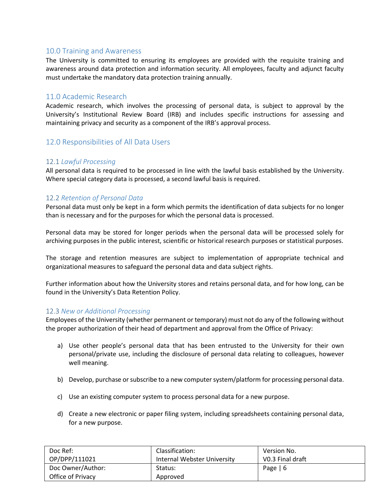# 10.0 Training and Awareness

The University is committed to ensuring its employees are provided with the requisite training and awareness around data protection and information security. All employees, faculty and adjunct faculty must undertake the mandatory data protection training annually.

# 11.0 Academic Research

Academic research, which involves the processing of personal data, is subject to approval by the University's Institutional Review Board (IRB) and includes specific instructions for assessing and maintaining privacy and security as a component of the IRB's approval process.

# 12.0 Responsibilities of All Data Users

## 12.1 *Lawful Processing*

All personal data is required to be processed in line with the lawful basis established by the University. Where special category data is processed, a second lawful basis is required.

## 12.2 *Retention of Personal Data*

Personal data must only be kept in a form which permits the identification of data subjects for no longer than is necessary and for the purposes for which the personal data is processed.

Personal data may be stored for longer periods when the personal data will be processed solely for archiving purposes in the public interest, scientific or historical research purposes or statistical purposes.

The storage and retention measures are subject to implementation of appropriate technical and organizational measures to safeguard the personal data and data subject rights.

Further information about how the University stores and retains personal data, and for how long, can be found in the University's Data Retention Policy.

## 12.3 *New or Additional Processing*

Employees of the University (whether permanent or temporary) must not do any of the following without the proper authorization of their head of department and approval from the Office of Privacy:

- a) Use other people's personal data that has been entrusted to the University for their own personal/private use, including the disclosure of personal data relating to colleagues, however well meaning.
- b) Develop, purchase or subscribe to a new computer system/platform for processing personal data.
- c) Use an existing computer system to process personal data for a new purpose.
- d) Create a new electronic or paper filing system, including spreadsheets containing personal data, for a new purpose.

| Doc Ref:          | Classification:             | Version No.      |
|-------------------|-----------------------------|------------------|
| OP/DPP/111021     | Internal Webster University | V0.3 Final draft |
| Doc Owner/Author: | Status:                     | Page $  6$       |
| Office of Privacy | Approved                    |                  |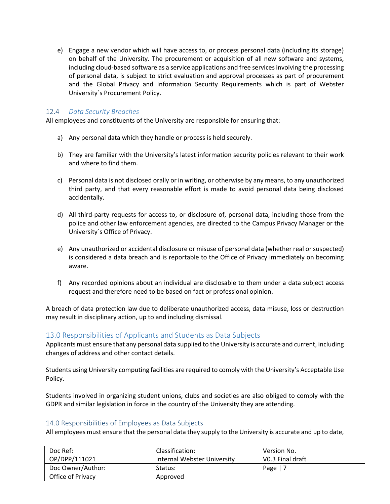e) Engage a new vendor which will have access to, or process personal data (including its storage) on behalf of the University. The procurement or acquisition of all new software and systems, including cloud-based software as a service applications and free services involving the processing of personal data, is subject to strict evaluation and approval processes as part of procurement and the Global Privacy and Information Security Requirements which is part of Webster University´s Procurement Policy.

# 12.4 *Data Security Breaches*

All employees and constituents of the University are responsible for ensuring that:

- a) Any personal data which they handle or process is held securely.
- b) They are familiar with the University's latest information security policies relevant to their work and where to find them.
- c) Personal data is not disclosed orally or in writing, or otherwise by any means, to any unauthorized third party, and that every reasonable effort is made to avoid personal data being disclosed accidentally.
- d) All third-party requests for access to, or disclosure of, personal data, including those from the police and other law enforcement agencies, are directed to the Campus Privacy Manager or the University´s Office of Privacy.
- e) Any unauthorized or accidental disclosure or misuse of personal data (whether real or suspected) is considered a data breach and is reportable to the Office of Privacy immediately on becoming aware.
- f) Any recorded opinions about an individual are disclosable to them under a data subject access request and therefore need to be based on fact or professional opinion.

A breach of data protection law due to deliberate unauthorized access, data misuse, loss or destruction may result in disciplinary action, up to and including dismissal.

## 13.0 Responsibilities of Applicants and Students as Data Subjects

Applicants must ensure that any personal data supplied to the University is accurate and current, including changes of address and other contact details.

Students using University computing facilities are required to comply with the University's Acceptable Use Policy.

Students involved in organizing student unions, clubs and societies are also obliged to comply with the GDPR and similar legislation in force in the country of the University they are attending.

#### 14.0 Responsibilities of Employees as Data Subjects

All employees must ensure that the personal data they supply to the University is accurate and up to date,

| Doc Ref:          | Classification:             | Version No.      |
|-------------------|-----------------------------|------------------|
| OP/DPP/111021     | Internal Webster University | VO.3 Final draft |
| Doc Owner/Author: | Status:                     | Page $ 7$        |
| Office of Privacy | Approved                    |                  |